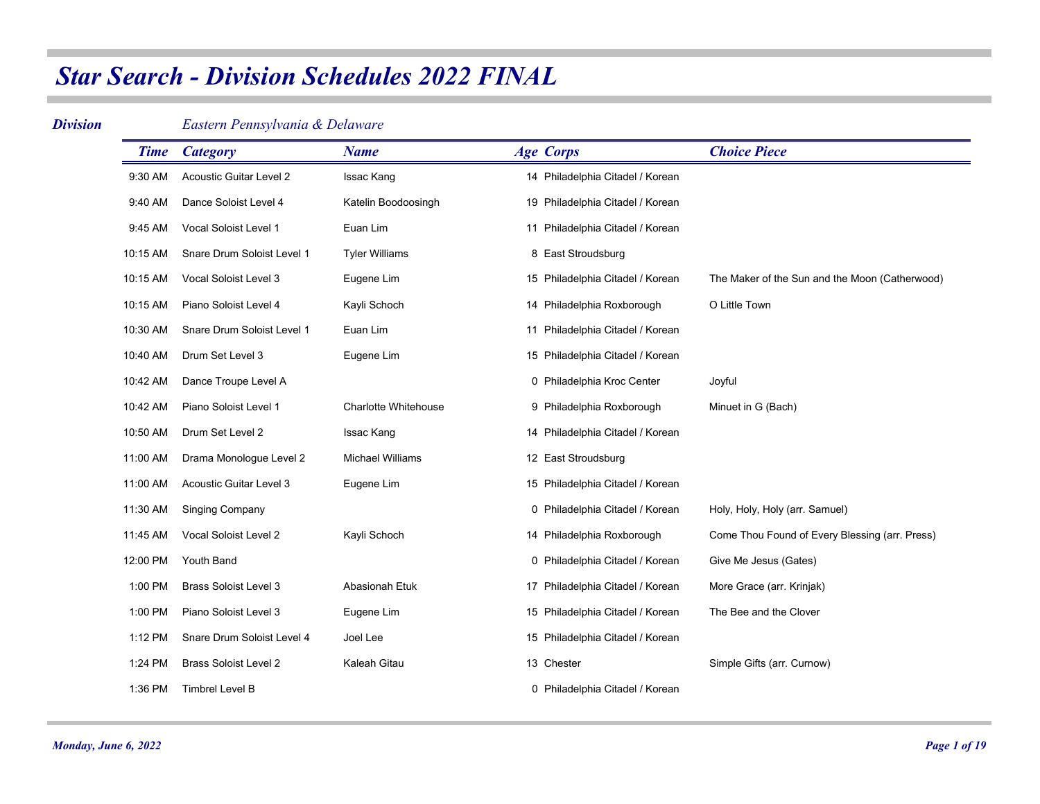#### *Division*

### *Eastern Pennsylvania & Delaware*

| <b>Time</b> | <b>Category</b>                | <b>Name</b>                 | <b>Age Corps</b>                 | <b>Choice Piece</b>                            |
|-------------|--------------------------------|-----------------------------|----------------------------------|------------------------------------------------|
| 9:30 AM     | <b>Acoustic Guitar Level 2</b> | Issac Kang                  | 14 Philadelphia Citadel / Korean |                                                |
| 9:40 AM     | Dance Soloist Level 4          | Katelin Boodoosingh         | 19 Philadelphia Citadel / Korean |                                                |
| 9:45 AM     | Vocal Soloist Level 1          | Euan Lim                    | 11 Philadelphia Citadel / Korean |                                                |
| 10:15 AM    | Snare Drum Soloist Level 1     | <b>Tyler Williams</b>       | 8 East Stroudsburg               |                                                |
| 10:15 AM    | Vocal Soloist Level 3          | Eugene Lim                  | 15 Philadelphia Citadel / Korean | The Maker of the Sun and the Moon (Catherwood) |
| 10:15 AM    | Piano Soloist Level 4          | Kayli Schoch                | 14 Philadelphia Roxborough       | O Little Town                                  |
| 10:30 AM    | Snare Drum Soloist Level 1     | Euan Lim                    | 11 Philadelphia Citadel / Korean |                                                |
| 10:40 AM    | Drum Set Level 3               | Eugene Lim                  | 15 Philadelphia Citadel / Korean |                                                |
| 10:42 AM    | Dance Troupe Level A           |                             | 0 Philadelphia Kroc Center       | Joyful                                         |
| 10:42 AM    | Piano Soloist Level 1          | <b>Charlotte Whitehouse</b> | 9 Philadelphia Roxborough        | Minuet in G (Bach)                             |
| 10:50 AM    | Drum Set Level 2               | Issac Kang                  | 14 Philadelphia Citadel / Korean |                                                |
| 11:00 AM    | Drama Monologue Level 2        | <b>Michael Williams</b>     | 12 East Stroudsburg              |                                                |
| 11:00 AM    | Acoustic Guitar Level 3        | Eugene Lim                  | 15 Philadelphia Citadel / Korean |                                                |
| 11:30 AM    | <b>Singing Company</b>         |                             | 0 Philadelphia Citadel / Korean  | Holy, Holy, Holy (arr. Samuel)                 |
| 11:45 AM    | Vocal Soloist Level 2          | Kayli Schoch                | 14 Philadelphia Roxborough       | Come Thou Found of Every Blessing (arr. Press) |
| 12:00 PM    | Youth Band                     |                             | 0 Philadelphia Citadel / Korean  | Give Me Jesus (Gates)                          |
| 1:00 PM     | <b>Brass Soloist Level 3</b>   | <b>Abasionah Etuk</b>       | 17 Philadelphia Citadel / Korean | More Grace (arr. Krinjak)                      |
| 1:00 PM     | Piano Soloist Level 3          | Eugene Lim                  | 15 Philadelphia Citadel / Korean | The Bee and the Clover                         |
| 1:12 PM     | Snare Drum Soloist Level 4     | Joel Lee                    | 15 Philadelphia Citadel / Korean |                                                |
| 1:24 PM     | <b>Brass Soloist Level 2</b>   | Kaleah Gitau                | 13 Chester                       | Simple Gifts (arr. Curnow)                     |
| 1:36 PM     | <b>Timbrel Level B</b>         |                             | 0 Philadelphia Citadel / Korean  |                                                |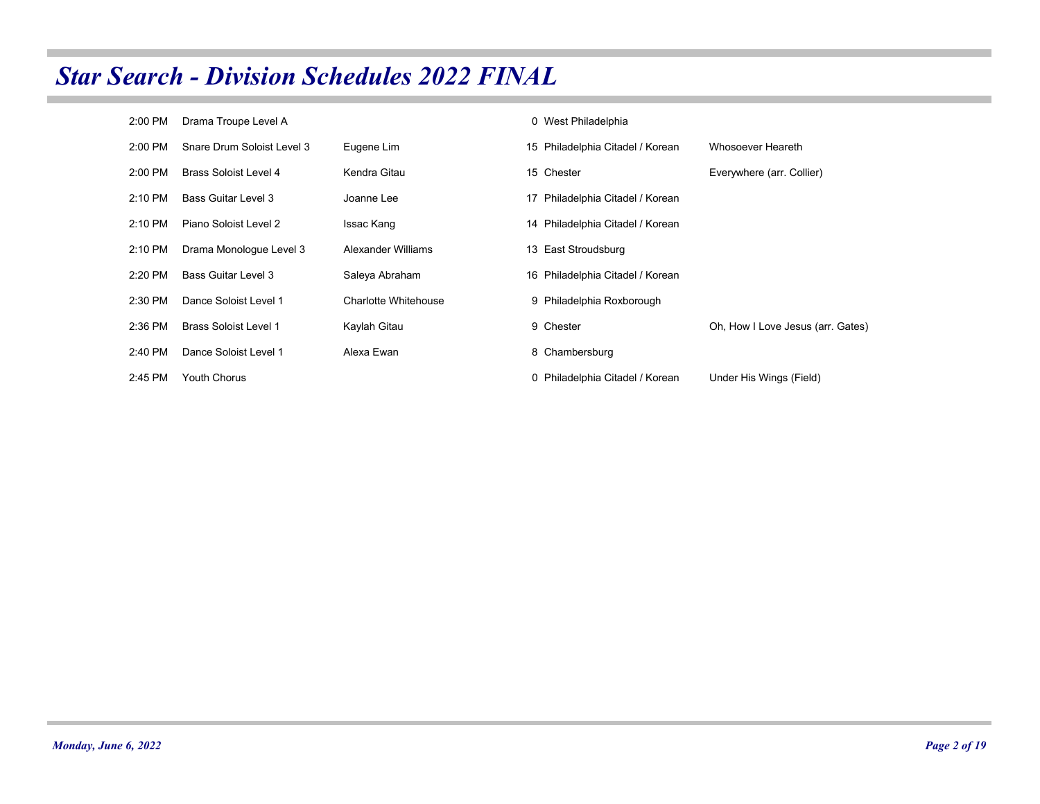| 2:00 PM   | Drama Troupe Level A         |                             | 0 West Philadelphia              |                                   |
|-----------|------------------------------|-----------------------------|----------------------------------|-----------------------------------|
| $2:00$ PM | Snare Drum Soloist Level 3   | Eugene Lim                  | 15 Philadelphia Citadel / Korean | Whosoever Heareth                 |
| 2:00 PM   | Brass Soloist Level 4        | Kendra Gitau                | 15 Chester                       | Everywhere (arr. Collier)         |
| 2:10 PM   | Bass Guitar Level 3          | Joanne Lee                  | 17 Philadelphia Citadel / Korean |                                   |
| $2:10$ PM | Piano Soloist Level 2        | Issac Kang                  | 14 Philadelphia Citadel / Korean |                                   |
| 2:10 PM   | Drama Monologue Level 3      | Alexander Williams          | 13 East Stroudsburg              |                                   |
| 2:20 PM   | Bass Guitar Level 3          | Saleya Abraham              | 16 Philadelphia Citadel / Korean |                                   |
| 2:30 PM   | Dance Soloist Level 1        | <b>Charlotte Whitehouse</b> | 9 Philadelphia Roxborough        |                                   |
| 2:36 PM   | <b>Brass Soloist Level 1</b> | Kaylah Gitau                | 9 Chester                        | Oh, How I Love Jesus (arr. Gates) |
| 2:40 PM   | Dance Soloist Level 1        | Alexa Ewan                  | 8 Chambersburg                   |                                   |
| 2:45 PM   | <b>Youth Chorus</b>          |                             | 0 Philadelphia Citadel / Korean  | Under His Wings (Field)           |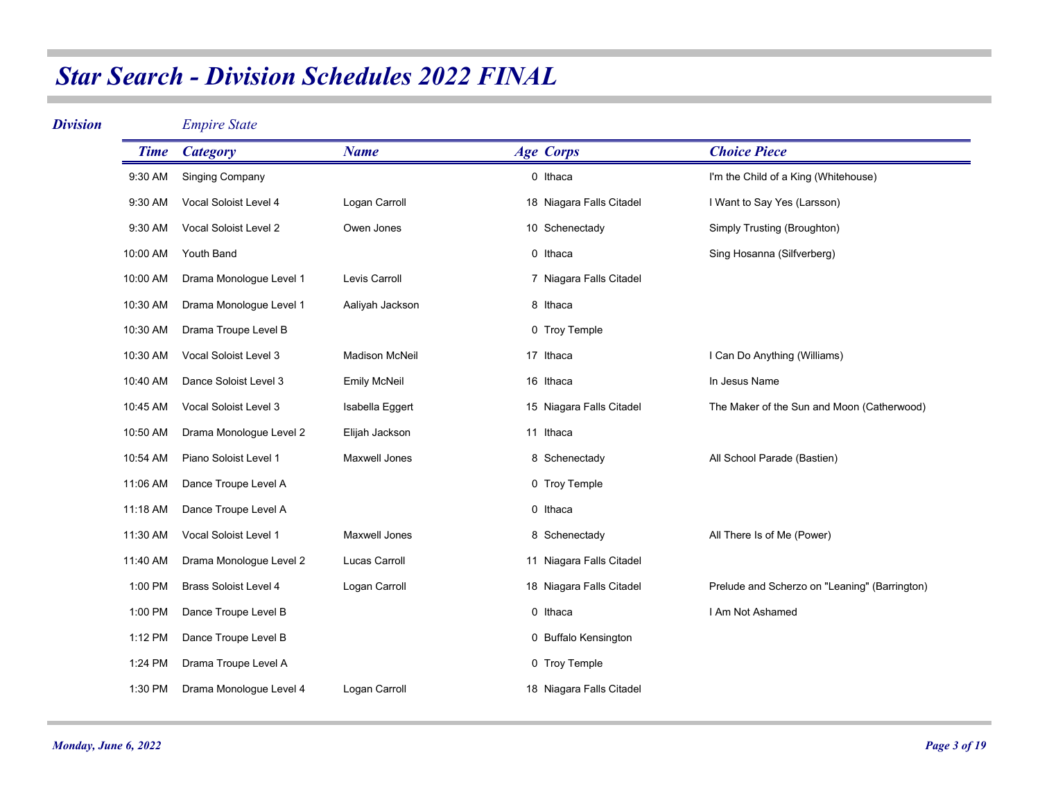| <b>Division</b> |             | <b>Empire State</b>          |                       |                          |                                               |
|-----------------|-------------|------------------------------|-----------------------|--------------------------|-----------------------------------------------|
|                 | <b>Time</b> | <b>Category</b>              | <b>Name</b>           | <b>Age Corps</b>         | <b>Choice Piece</b>                           |
|                 | 9:30 AM     | <b>Singing Company</b>       |                       | 0 Ithaca                 | I'm the Child of a King (Whitehouse)          |
|                 | 9:30 AM     | Vocal Soloist Level 4        | Logan Carroll         | 18 Niagara Falls Citadel | I Want to Say Yes (Larsson)                   |
|                 | 9:30 AM     | Vocal Soloist Level 2        | Owen Jones            | 10 Schenectady           | Simply Trusting (Broughton)                   |
|                 | 10:00 AM    | Youth Band                   |                       | 0 Ithaca                 | Sing Hosanna (Silfverberg)                    |
|                 | 10:00 AM    | Drama Monologue Level 1      | Levis Carroll         | 7 Niagara Falls Citadel  |                                               |
|                 | 10:30 AM    | Drama Monologue Level 1      | Aaliyah Jackson       | 8 Ithaca                 |                                               |
|                 | 10:30 AM    | Drama Troupe Level B         |                       | 0 Troy Temple            |                                               |
|                 | 10:30 AM    | Vocal Soloist Level 3        | <b>Madison McNeil</b> | 17 Ithaca                | I Can Do Anything (Williams)                  |
|                 | 10:40 AM    | Dance Soloist Level 3        | <b>Emily McNeil</b>   | 16 Ithaca                | In Jesus Name                                 |
|                 | 10:45 AM    | Vocal Soloist Level 3        | Isabella Eggert       | 15 Niagara Falls Citadel | The Maker of the Sun and Moon (Catherwood)    |
|                 | 10:50 AM    | Drama Monologue Level 2      | Elijah Jackson        | 11 Ithaca                |                                               |
|                 | 10:54 AM    | Piano Soloist Level 1        | <b>Maxwell Jones</b>  | 8 Schenectady            | All School Parade (Bastien)                   |
|                 | 11:06 AM    | Dance Troupe Level A         |                       | 0 Troy Temple            |                                               |
|                 | 11:18 AM    | Dance Troupe Level A         |                       | 0 Ithaca                 |                                               |
|                 | 11:30 AM    | Vocal Soloist Level 1        | <b>Maxwell Jones</b>  | 8 Schenectady            | All There Is of Me (Power)                    |
|                 | 11:40 AM    | Drama Monologue Level 2      | <b>Lucas Carroll</b>  | 11 Niagara Falls Citadel |                                               |
|                 | 1:00 PM     | <b>Brass Soloist Level 4</b> | Logan Carroll         | 18 Niagara Falls Citadel | Prelude and Scherzo on "Leaning" (Barrington) |
|                 | 1:00 PM     | Dance Troupe Level B         |                       | 0 Ithaca                 | I Am Not Ashamed                              |
|                 | 1:12 PM     | Dance Troupe Level B         |                       | 0 Buffalo Kensington     |                                               |
|                 | 1:24 PM     | Drama Troupe Level A         |                       | 0 Troy Temple            |                                               |
|                 | 1:30 PM     | Drama Monologue Level 4      | Logan Carroll         | 18 Niagara Falls Citadel |                                               |

and a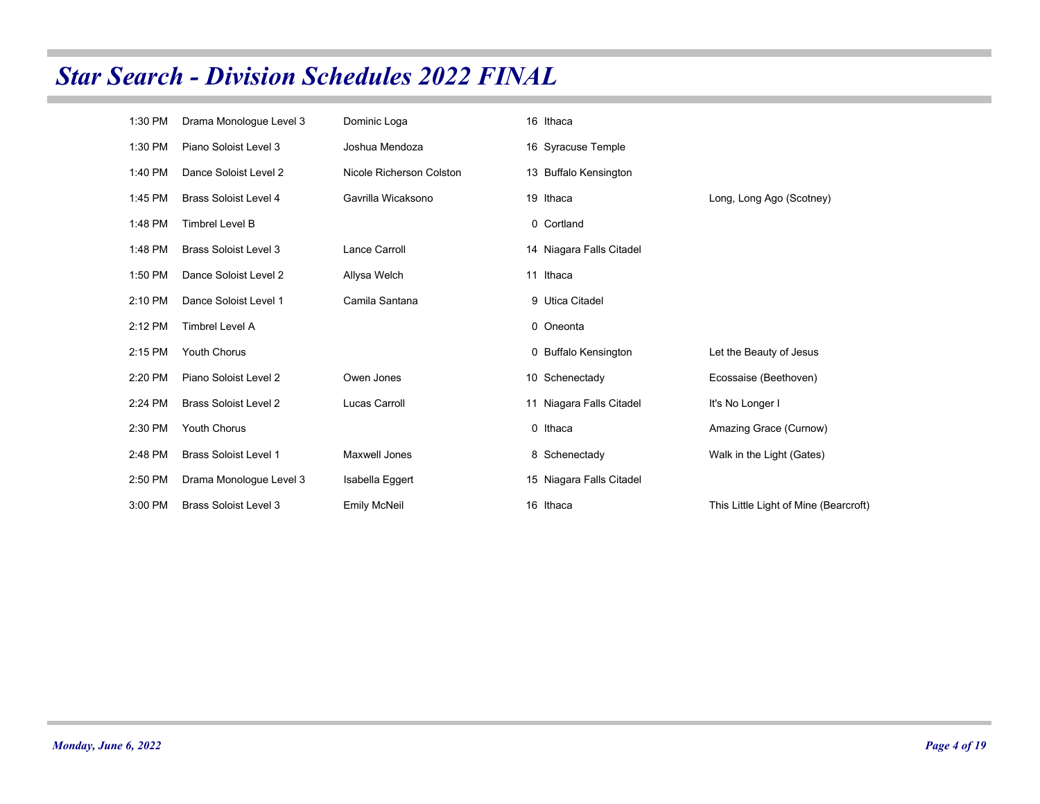| 1:30 PM | Drama Monologue Level 3      | Dominic Loga             | 16 Ithaca                |                                       |
|---------|------------------------------|--------------------------|--------------------------|---------------------------------------|
| 1:30 PM | Piano Soloist Level 3        | Joshua Mendoza           | 16 Syracuse Temple       |                                       |
| 1:40 PM | Dance Soloist Level 2        | Nicole Richerson Colston | 13 Buffalo Kensington    |                                       |
| 1:45 PM | <b>Brass Soloist Level 4</b> | Gavrilla Wicaksono       | 19 Ithaca                | Long, Long Ago (Scotney)              |
| 1:48 PM | <b>Timbrel Level B</b>       |                          | 0 Cortland               |                                       |
| 1:48 PM | <b>Brass Soloist Level 3</b> | Lance Carroll            | 14 Niagara Falls Citadel |                                       |
| 1:50 PM | Dance Soloist Level 2        | Allysa Welch             | 11 Ithaca                |                                       |
| 2:10 PM | Dance Soloist Level 1        | Camila Santana           | 9 Utica Citadel          |                                       |
| 2:12 PM | <b>Timbrel Level A</b>       |                          | 0 Oneonta                |                                       |
| 2:15 PM | <b>Youth Chorus</b>          |                          | 0 Buffalo Kensington     | Let the Beauty of Jesus               |
| 2:20 PM | Piano Soloist Level 2        | Owen Jones               | 10 Schenectady           | Ecossaise (Beethoven)                 |
| 2:24 PM | <b>Brass Soloist Level 2</b> | Lucas Carroll            | 11 Niagara Falls Citadel | It's No Longer I                      |
| 2:30 PM | <b>Youth Chorus</b>          |                          | 0 Ithaca                 | Amazing Grace (Curnow)                |
| 2:48 PM | <b>Brass Soloist Level 1</b> | Maxwell Jones            | 8 Schenectady            | Walk in the Light (Gates)             |
| 2:50 PM | Drama Monologue Level 3      | Isabella Eggert          | 15 Niagara Falls Citadel |                                       |
| 3:00 PM | <b>Brass Soloist Level 3</b> | <b>Emily McNeil</b>      | 16 Ithaca                | This Little Light of Mine (Bearcroft) |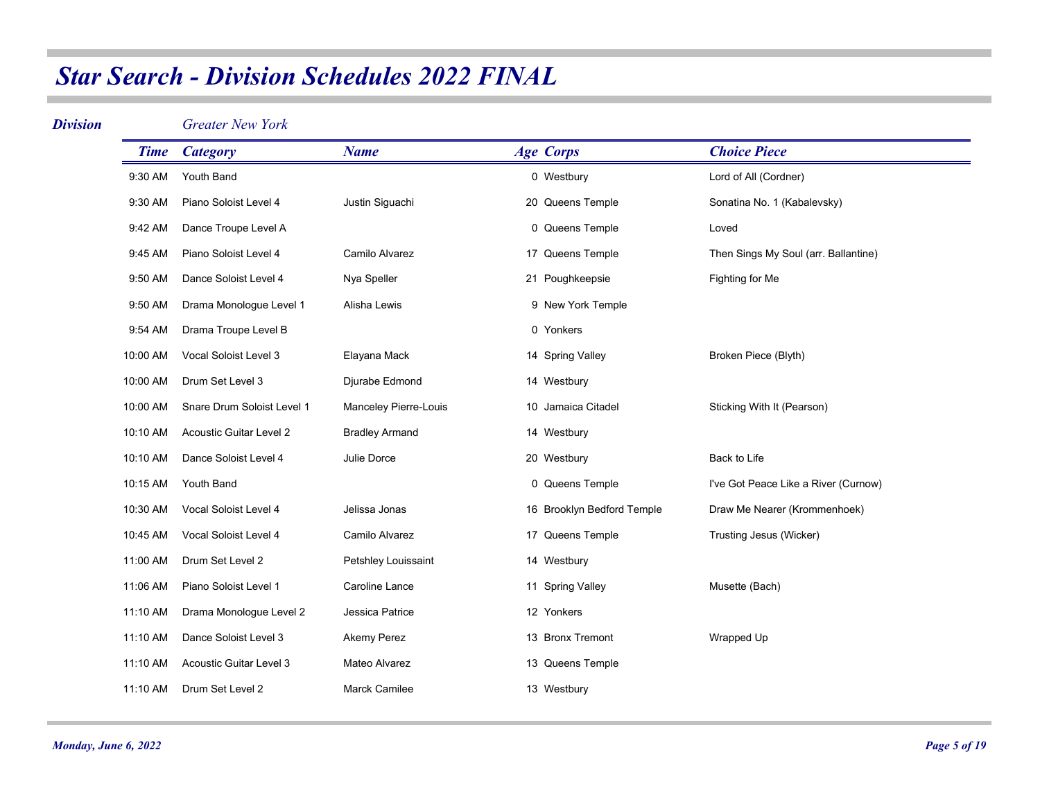#### *Division*

*Greater New York*

| <b>Time</b> | <b>Category</b>                | <b>Name</b>           | <b>Age Corps</b>           | <b>Choice Piece</b>                  |
|-------------|--------------------------------|-----------------------|----------------------------|--------------------------------------|
| 9:30 AM     | Youth Band                     |                       | 0 Westbury                 | Lord of All (Cordner)                |
| 9:30 AM     | Piano Soloist Level 4          | Justin Siguachi       | 20 Queens Temple           | Sonatina No. 1 (Kabalevsky)          |
| 9:42 AM     | Dance Troupe Level A           |                       | 0 Queens Temple            | Loved                                |
| 9:45 AM     | Piano Soloist Level 4          | Camilo Alvarez        | 17 Queens Temple           | Then Sings My Soul (arr. Ballantine) |
| 9:50 AM     | Dance Soloist Level 4          | Nya Speller           | 21 Poughkeepsie            | Fighting for Me                      |
| 9:50 AM     | Drama Monologue Level 1        | Alisha Lewis          | 9 New York Temple          |                                      |
| 9:54 AM     | Drama Troupe Level B           |                       | 0 Yonkers                  |                                      |
| 10:00 AM    | Vocal Soloist Level 3          | Elayana Mack          | 14 Spring Valley           | Broken Piece (Blyth)                 |
| 10:00 AM    | Drum Set Level 3               | Djurabe Edmond        | 14 Westbury                |                                      |
| 10:00 AM    | Snare Drum Soloist Level 1     | Manceley Pierre-Louis | 10 Jamaica Citadel         | Sticking With It (Pearson)           |
| 10:10 AM    | <b>Acoustic Guitar Level 2</b> | <b>Bradley Armand</b> | 14 Westbury                |                                      |
| 10:10 AM    | Dance Soloist Level 4          | Julie Dorce           | 20 Westbury                | Back to Life                         |
| 10:15 AM    | Youth Band                     |                       | 0 Queens Temple            | I've Got Peace Like a River (Curnow) |
| 10:30 AM    | Vocal Soloist Level 4          | Jelissa Jonas         | 16 Brooklyn Bedford Temple | Draw Me Nearer (Krommenhoek)         |
| 10:45 AM    | Vocal Soloist Level 4          | Camilo Alvarez        | 17 Queens Temple           | Trusting Jesus (Wicker)              |
| 11:00 AM    | Drum Set Level 2               | Petshley Louissaint   | 14 Westbury                |                                      |
| 11:06 AM    | Piano Soloist Level 1          | Caroline Lance        | 11 Spring Valley           | Musette (Bach)                       |
| 11:10 AM    | Drama Monologue Level 2        | Jessica Patrice       | 12 Yonkers                 |                                      |
| 11:10 AM    | Dance Soloist Level 3          | Akemy Perez           | 13 Bronx Tremont           | Wrapped Up                           |
| 11:10 AM    | Acoustic Guitar Level 3        | Mateo Alvarez         | 13 Queens Temple           |                                      |
| 11:10 AM    | Drum Set Level 2               | <b>Marck Camilee</b>  | 13 Westbury                |                                      |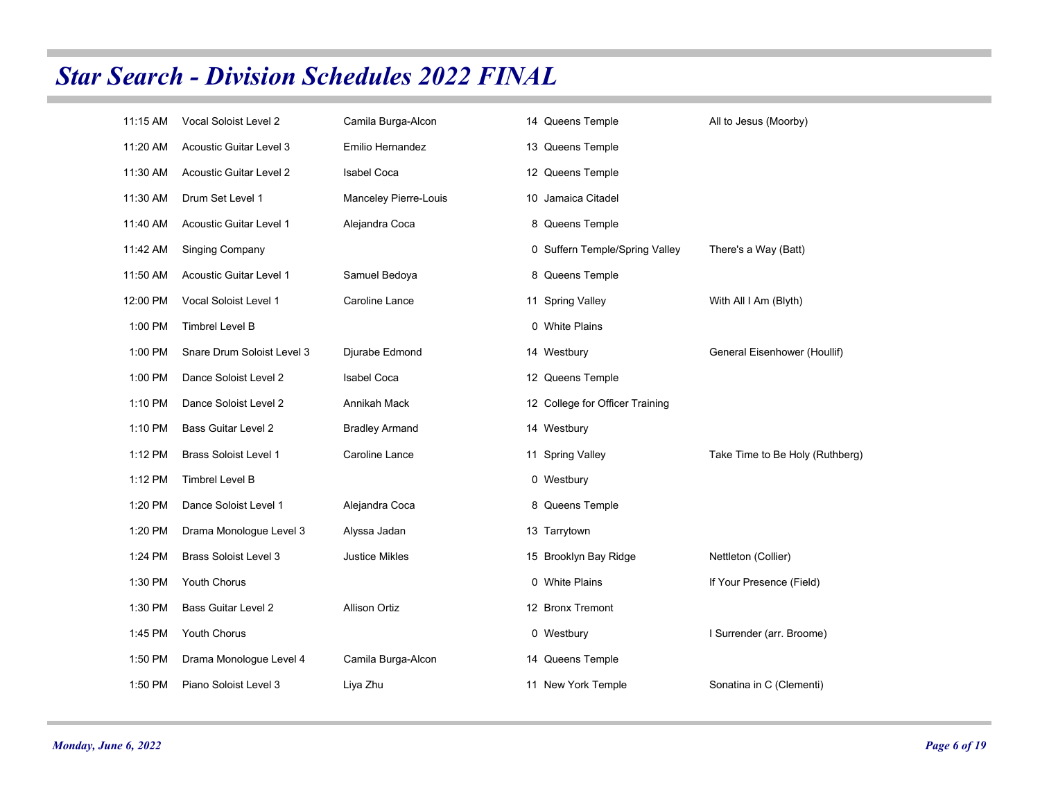| 11:15 AM | Vocal Soloist Level 2          | Camila Burga-Alcon    | 14 Queens Temple                | All to Jesus (Moorby)           |
|----------|--------------------------------|-----------------------|---------------------------------|---------------------------------|
| 11:20 AM | Acoustic Guitar Level 3        | Emilio Hernandez      | 13 Queens Temple                |                                 |
| 11:30 AM | <b>Acoustic Guitar Level 2</b> | <b>Isabel Coca</b>    | 12 Queens Temple                |                                 |
| 11:30 AM | Drum Set Level 1               | Manceley Pierre-Louis | 10 Jamaica Citadel              |                                 |
| 11:40 AM | Acoustic Guitar Level 1        | Alejandra Coca        | 8 Queens Temple                 |                                 |
| 11:42 AM | <b>Singing Company</b>         |                       | 0 Suffern Temple/Spring Valley  | There's a Way (Batt)            |
| 11:50 AM | <b>Acoustic Guitar Level 1</b> | Samuel Bedoya         | 8 Queens Temple                 |                                 |
| 12:00 PM | Vocal Soloist Level 1          | <b>Caroline Lance</b> | 11 Spring Valley                | With All I Am (Blyth)           |
| 1:00 PM  | Timbrel Level B                |                       | 0 White Plains                  |                                 |
| 1:00 PM  | Snare Drum Soloist Level 3     | Djurabe Edmond        | 14 Westbury                     | General Eisenhower (Houllif)    |
| 1:00 PM  | Dance Soloist Level 2          | <b>Isabel Coca</b>    | 12 Queens Temple                |                                 |
| 1:10 PM  | Dance Soloist Level 2          | Annikah Mack          | 12 College for Officer Training |                                 |
| 1:10 PM  | <b>Bass Guitar Level 2</b>     | <b>Bradley Armand</b> | 14 Westbury                     |                                 |
| 1:12 PM  | <b>Brass Soloist Level 1</b>   | Caroline Lance        | 11 Spring Valley                | Take Time to Be Holy (Ruthberg) |
| 1:12 PM  | <b>Timbrel Level B</b>         |                       | 0 Westbury                      |                                 |
| 1:20 PM  | Dance Soloist Level 1          | Alejandra Coca        | 8 Queens Temple                 |                                 |
| 1:20 PM  | Drama Monologue Level 3        | Alyssa Jadan          | 13 Tarrytown                    |                                 |
| 1:24 PM  | <b>Brass Soloist Level 3</b>   | <b>Justice Mikles</b> | 15 Brooklyn Bay Ridge           | Nettleton (Collier)             |
| 1:30 PM  | Youth Chorus                   |                       | 0 White Plains                  | If Your Presence (Field)        |
| 1:30 PM  | <b>Bass Guitar Level 2</b>     | <b>Allison Ortiz</b>  | 12 Bronx Tremont                |                                 |
| 1:45 PM  | Youth Chorus                   |                       | 0 Westbury                      | I Surrender (arr. Broome)       |
| 1:50 PM  | Drama Monologue Level 4        | Camila Burga-Alcon    | 14 Queens Temple                |                                 |
| 1:50 PM  | Piano Soloist Level 3          | Liya Zhu              | 11 New York Temple              | Sonatina in C (Clementi)        |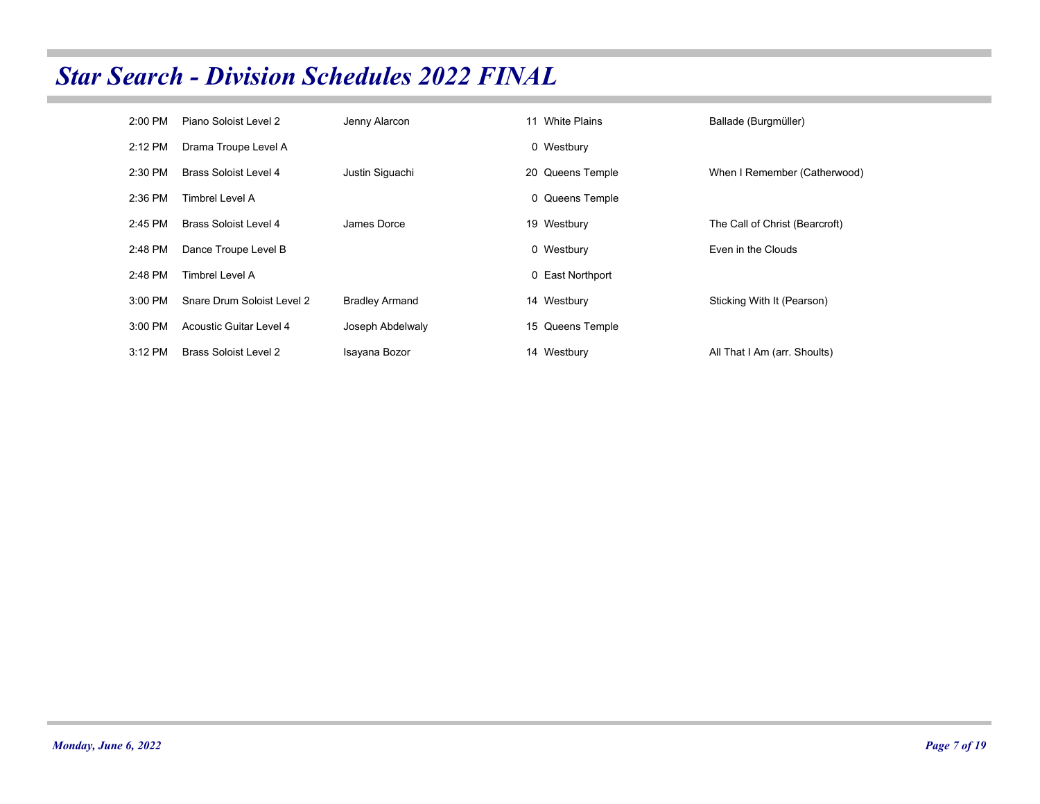| 2:00 PM   | Piano Soloist Level 2        | Jenny Alarcon         | 11 White Plains  | Ballade (Burgmüller)           |
|-----------|------------------------------|-----------------------|------------------|--------------------------------|
| 2:12 PM   | Drama Troupe Level A         |                       | 0 Westbury       |                                |
| 2:30 PM   | Brass Soloist Level 4        | Justin Siguachi       | 20 Queens Temple | When I Remember (Catherwood)   |
| 2:36 PM   | Timbrel Level A              |                       | 0 Queens Temple  |                                |
| 2:45 PM   | Brass Soloist Level 4        | James Dorce           | 19 Westbury      | The Call of Christ (Bearcroft) |
| 2:48 PM   | Dance Troupe Level B         |                       | 0 Westbury       | Even in the Clouds             |
| 2:48 PM   | Timbrel Level A              |                       | 0 East Northport |                                |
| 3:00 PM   | Snare Drum Soloist Level 2   | <b>Bradley Armand</b> | 14 Westbury      | Sticking With It (Pearson)     |
| 3:00 PM   | Acoustic Guitar Level 4      | Joseph Abdelwaly      | 15 Queens Temple |                                |
| $3:12$ PM | <b>Brass Soloist Level 2</b> | Isayana Bozor         | 14 Westbury      | All That I Am (arr. Shoults)   |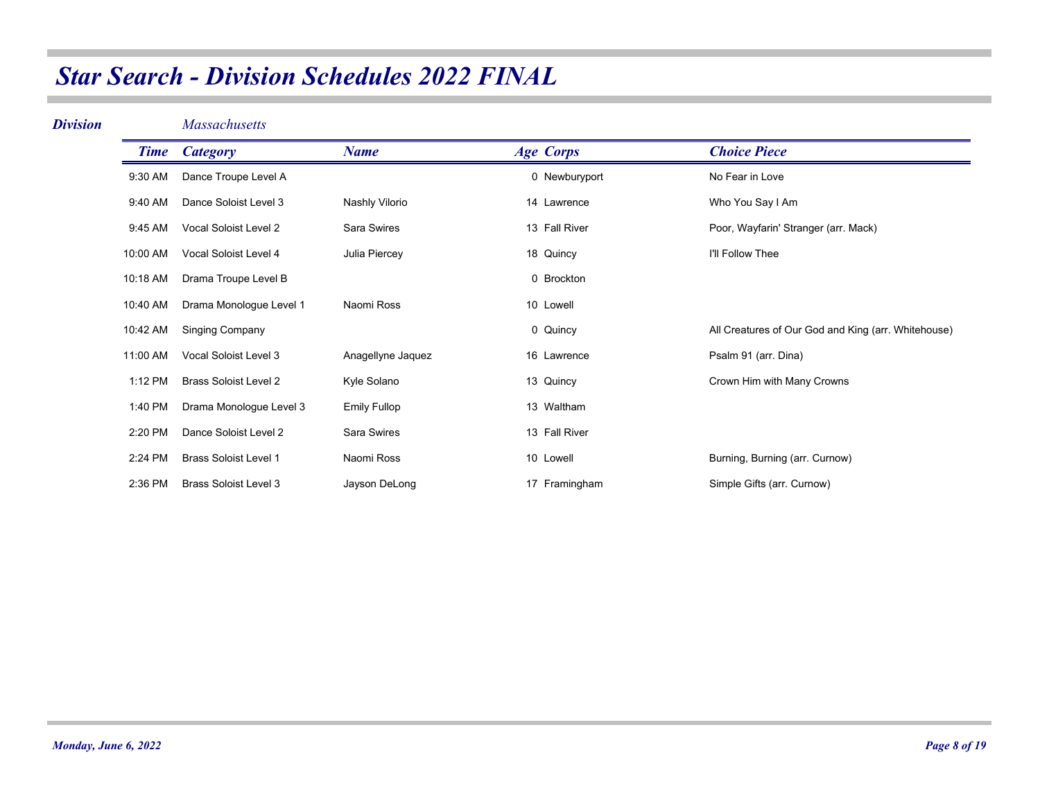| <b>Division</b> |             | <b>Massachusetts</b>         |                     |                  |                                                     |
|-----------------|-------------|------------------------------|---------------------|------------------|-----------------------------------------------------|
|                 | <b>Time</b> | <b>Category</b>              | <b>Name</b>         | <b>Age Corps</b> | <b>Choice Piece</b>                                 |
|                 | 9:30 AM     | Dance Troupe Level A         |                     | 0 Newburyport    | No Fear in Love                                     |
|                 | 9:40 AM     | Dance Soloist Level 3        | Nashly Vilorio      | 14 Lawrence      | Who You Say I Am                                    |
|                 | 9:45 AM     | Vocal Soloist Level 2        | Sara Swires         | 13 Fall River    | Poor, Wayfarin' Stranger (arr. Mack)                |
|                 | 10:00 AM    | Vocal Soloist Level 4        | Julia Piercey       | 18 Quincy        | I'll Follow Thee                                    |
|                 | 10:18 AM    | Drama Troupe Level B         |                     | 0 Brockton       |                                                     |
|                 | 10:40 AM    | Drama Monologue Level 1      | Naomi Ross          | 10 Lowell        |                                                     |
|                 | 10:42 AM    | <b>Singing Company</b>       |                     | 0 Quincy         | All Creatures of Our God and King (arr. Whitehouse) |
|                 | 11:00 AM    | Vocal Soloist Level 3        | Anagellyne Jaquez   | 16 Lawrence      | Psalm 91 (arr. Dina)                                |
|                 | 1:12 PM     | <b>Brass Soloist Level 2</b> | Kyle Solano         | 13 Quincy        | Crown Him with Many Crowns                          |
|                 | 1:40 PM     | Drama Monologue Level 3      | <b>Emily Fullop</b> | 13 Waltham       |                                                     |
|                 | 2:20 PM     | Dance Soloist Level 2        | Sara Swires         | 13 Fall River    |                                                     |
|                 | 2:24 PM     | <b>Brass Soloist Level 1</b> | Naomi Ross          | 10 Lowell        | Burning, Burning (arr. Curnow)                      |
|                 | 2:36 PM     | <b>Brass Soloist Level 3</b> | Jayson DeLong       | 17 Framingham    | Simple Gifts (arr. Curnow)                          |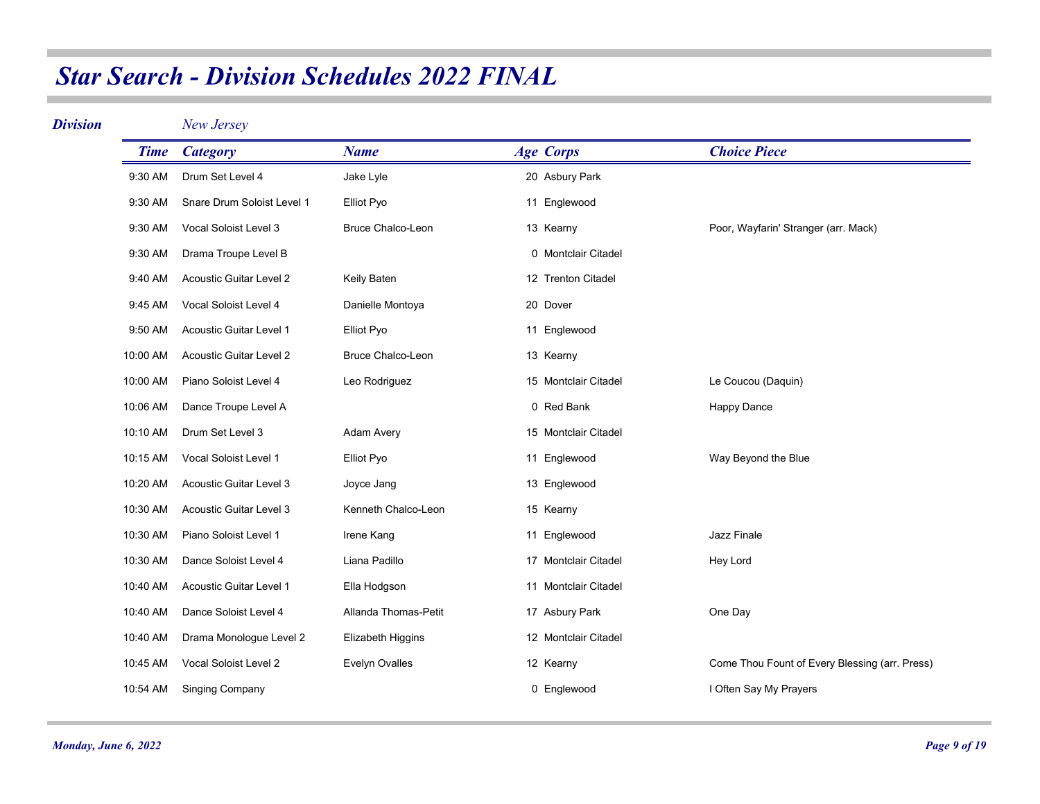| <b>Division</b> |             | New Jersey                     |                          |                      |                                                |
|-----------------|-------------|--------------------------------|--------------------------|----------------------|------------------------------------------------|
|                 | <b>Time</b> | <b>Category</b>                | <b>Name</b>              | <b>Age Corps</b>     | <b>Choice Piece</b>                            |
|                 | 9:30 AM     | Drum Set Level 4               | Jake Lyle                | 20 Asbury Park       |                                                |
|                 | 9:30 AM     | Snare Drum Soloist Level 1     | Elliot Pyo               | 11 Englewood         |                                                |
|                 | 9:30 AM     | Vocal Soloist Level 3          | Bruce Chalco-Leon        | 13 Kearny            | Poor, Wayfarin' Stranger (arr. Mack)           |
|                 | 9:30 AM     | Drama Troupe Level B           |                          | 0 Montclair Citadel  |                                                |
|                 | 9:40 AM     | <b>Acoustic Guitar Level 2</b> | Keily Baten              | 12 Trenton Citadel   |                                                |
|                 | 9:45 AM     | Vocal Soloist Level 4          | Danielle Montoya         | 20 Dover             |                                                |
|                 | 9:50 AM     | Acoustic Guitar Level 1        | Elliot Pyo               | 11 Englewood         |                                                |
|                 | 10:00 AM    | <b>Acoustic Guitar Level 2</b> | <b>Bruce Chalco-Leon</b> | 13 Kearny            |                                                |
|                 | 10:00 AM    | Piano Soloist Level 4          | Leo Rodriguez            | 15 Montclair Citadel | Le Coucou (Daquin)                             |
|                 | 10:06 AM    | Dance Troupe Level A           |                          | 0 Red Bank           | <b>Happy Dance</b>                             |
|                 | 10:10 AM    | Drum Set Level 3               | Adam Avery               | 15 Montclair Citadel |                                                |
|                 | 10:15 AM    | Vocal Soloist Level 1          | Elliot Pyo               | 11 Englewood         | Way Beyond the Blue                            |
|                 | 10:20 AM    | Acoustic Guitar Level 3        | Joyce Jang               | 13 Englewood         |                                                |
|                 | 10:30 AM    | Acoustic Guitar Level 3        | Kenneth Chalco-Leon      | 15 Kearny            |                                                |
|                 | 10:30 AM    | Piano Soloist Level 1          | Irene Kang               | 11 Englewood         | Jazz Finale                                    |
|                 | 10:30 AM    | Dance Soloist Level 4          | Liana Padillo            | 17 Montclair Citadel | Hey Lord                                       |
|                 | 10:40 AM    | Acoustic Guitar Level 1        | Ella Hodgson             | 11 Montclair Citadel |                                                |
|                 | 10:40 AM    | Dance Soloist Level 4          | Allanda Thomas-Petit     | 17 Asbury Park       | One Day                                        |
|                 | 10:40 AM    | Drama Monologue Level 2        | Elizabeth Higgins        | 12 Montclair Citadel |                                                |
|                 | 10:45 AM    | Vocal Soloist Level 2          | Evelyn Ovalles           | 12 Kearny            | Come Thou Fount of Every Blessing (arr. Press) |
|                 | 10:54 AM    | <b>Singing Company</b>         |                          | 0 Englewood          | I Often Say My Prayers                         |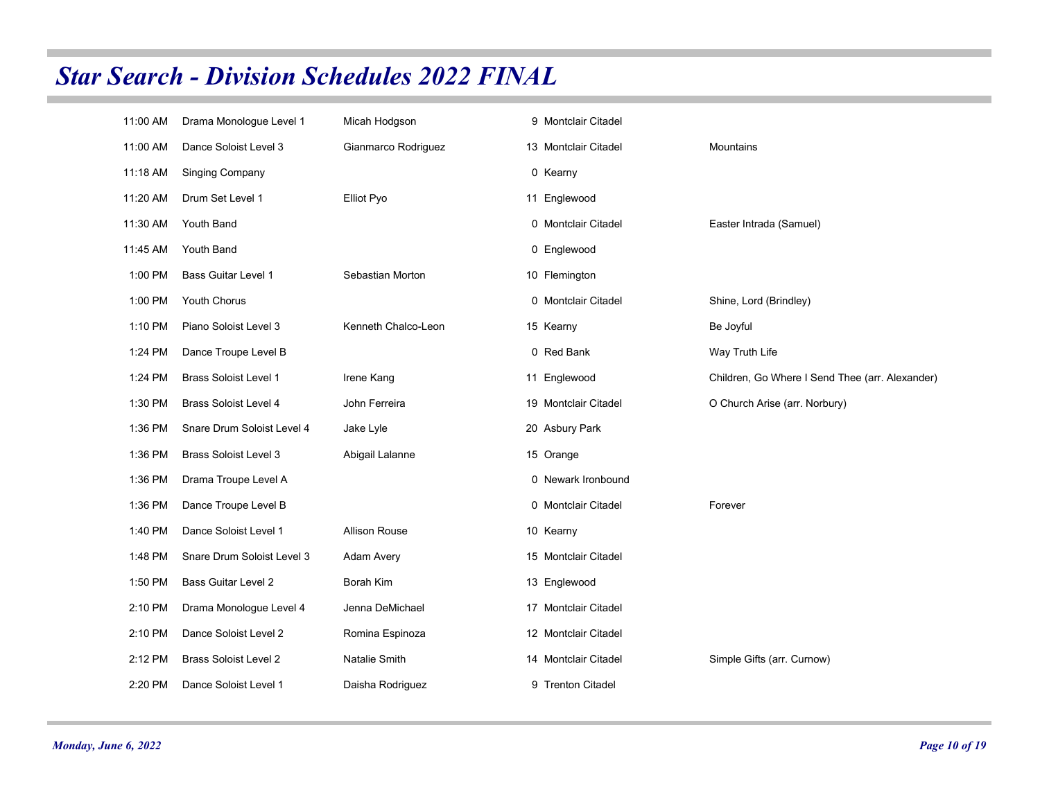| 11:00 AM | Drama Monologue Level 1      | Micah Hodgson        | 9 Montclair Citadel  |                                                 |
|----------|------------------------------|----------------------|----------------------|-------------------------------------------------|
| 11:00 AM | Dance Soloist Level 3        | Gianmarco Rodriguez  | 13 Montclair Citadel | Mountains                                       |
| 11:18 AM | <b>Singing Company</b>       |                      | 0 Kearny             |                                                 |
| 11:20 AM | Drum Set Level 1             | Elliot Pyo           | 11 Englewood         |                                                 |
| 11:30 AM | Youth Band                   |                      | 0 Montclair Citadel  | Easter Intrada (Samuel)                         |
| 11:45 AM | Youth Band                   |                      | 0 Englewood          |                                                 |
| 1:00 PM  | <b>Bass Guitar Level 1</b>   | Sebastian Morton     | 10 Flemington        |                                                 |
| 1:00 PM  | Youth Chorus                 |                      | 0 Montclair Citadel  | Shine, Lord (Brindley)                          |
| 1:10 PM  | Piano Soloist Level 3        | Kenneth Chalco-Leon  | 15 Kearny            | Be Joyful                                       |
| 1:24 PM  | Dance Troupe Level B         |                      | 0 Red Bank           | Way Truth Life                                  |
| 1:24 PM  | <b>Brass Soloist Level 1</b> | Irene Kang           | 11 Englewood         | Children, Go Where I Send Thee (arr. Alexander) |
| 1:30 PM  | <b>Brass Soloist Level 4</b> | John Ferreira        | 19 Montclair Citadel | O Church Arise (arr. Norbury)                   |
| 1:36 PM  | Snare Drum Soloist Level 4   | Jake Lyle            | 20 Asbury Park       |                                                 |
| 1:36 PM  | <b>Brass Soloist Level 3</b> | Abigail Lalanne      | 15 Orange            |                                                 |
| 1:36 PM  | Drama Troupe Level A         |                      | 0 Newark Ironbound   |                                                 |
| 1:36 PM  | Dance Troupe Level B         |                      | 0 Montclair Citadel  | Forever                                         |
| 1:40 PM  | Dance Soloist Level 1        | <b>Allison Rouse</b> | 10 Kearny            |                                                 |
| 1:48 PM  | Snare Drum Soloist Level 3   | Adam Avery           | 15 Montclair Citadel |                                                 |
| 1:50 PM  | <b>Bass Guitar Level 2</b>   | Borah Kim            | 13 Englewood         |                                                 |
| 2:10 PM  | Drama Monologue Level 4      | Jenna DeMichael      | 17 Montclair Citadel |                                                 |
| 2:10 PM  | Dance Soloist Level 2        | Romina Espinoza      | 12 Montclair Citadel |                                                 |
| 2:12 PM  | <b>Brass Soloist Level 2</b> | Natalie Smith        | 14 Montclair Citadel | Simple Gifts (arr. Curnow)                      |
| 2:20 PM  | Dance Soloist Level 1        | Daisha Rodriguez     | 9 Trenton Citadel    |                                                 |
|          |                              |                      |                      |                                                 |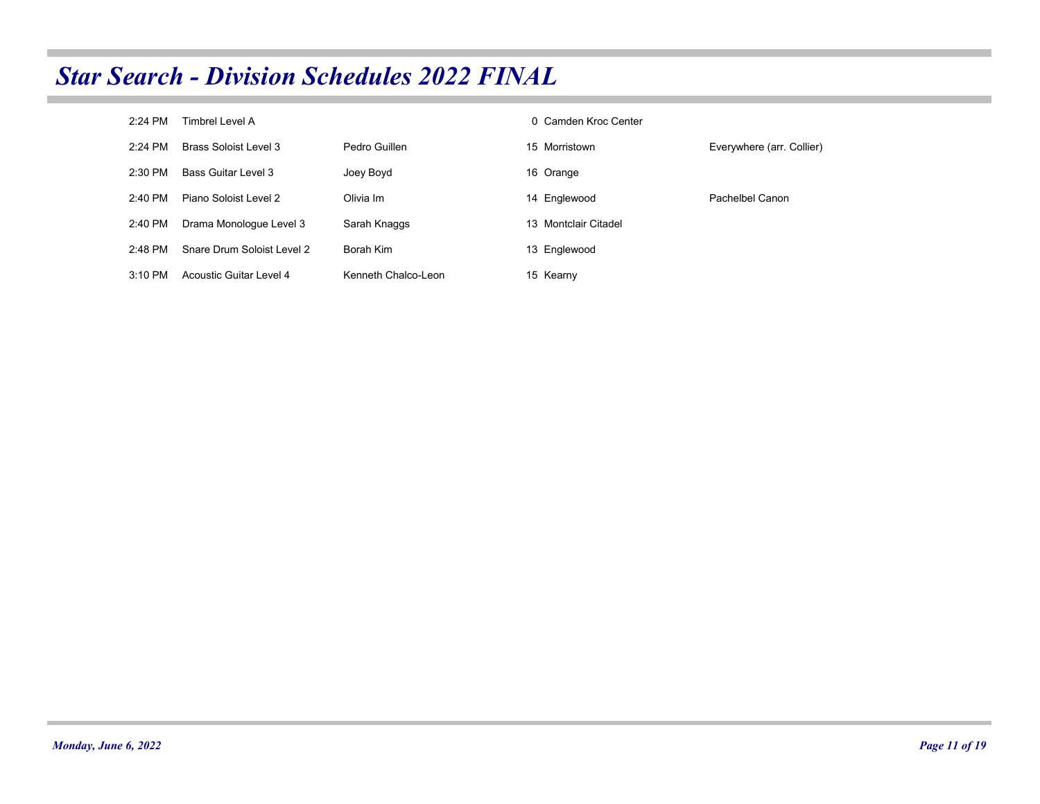| $2:24$ PM | Timbrel Level A            |                     | 0 Camden Kroc Center |                           |
|-----------|----------------------------|---------------------|----------------------|---------------------------|
| $2.24$ PM | Brass Soloist Level 3      | Pedro Guillen       | 15 Morristown        | Everywhere (arr. Collier) |
| $2:30$ PM | <b>Bass Guitar Level 3</b> | Joey Boyd           | 16 Orange            |                           |
| $2:40$ PM | Piano Soloist Level 2      | Olivia Im           | 14 Englewood         | Pachelbel Canon           |
| 2:40 PM   | Drama Monologue Level 3    | Sarah Knaggs        | 13 Montclair Citadel |                           |
| 2.48 PM   | Snare Drum Soloist Level 2 | Borah Kim           | 13 Englewood         |                           |
| $3:10$ PM | Acoustic Guitar Level 4    | Kenneth Chalco-Leon | 15 Kearny            |                           |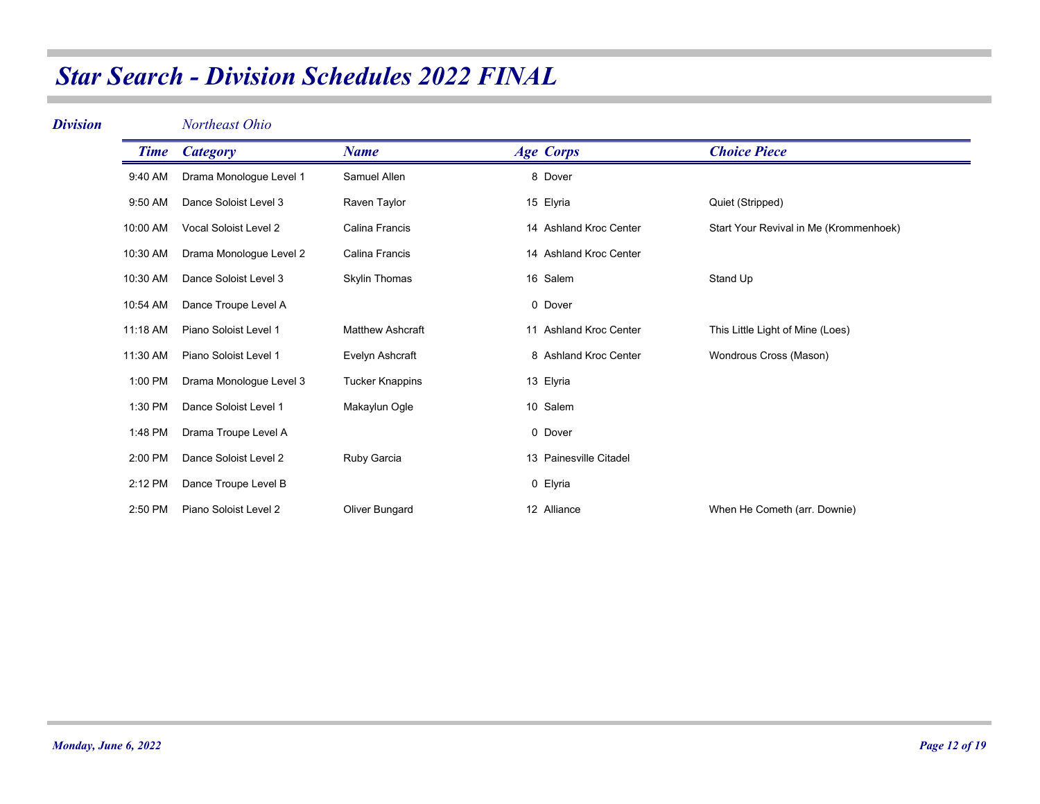| <b>Division</b> |             | Northeast Ohio          |                         |                        |                                        |
|-----------------|-------------|-------------------------|-------------------------|------------------------|----------------------------------------|
|                 | <b>Time</b> | <b>Category</b>         | <b>Name</b>             | <b>Age Corps</b>       | <b>Choice Piece</b>                    |
|                 | 9:40 AM     | Drama Monologue Level 1 | Samuel Allen            | 8 Dover                |                                        |
|                 | 9:50 AM     | Dance Soloist Level 3   | Raven Taylor            | 15 Elyria              | Quiet (Stripped)                       |
|                 | 10:00 AM    | Vocal Soloist Level 2   | Calina Francis          | 14 Ashland Kroc Center | Start Your Revival in Me (Krommenhoek) |
|                 | 10:30 AM    | Drama Monologue Level 2 | <b>Calina Francis</b>   | 14 Ashland Kroc Center |                                        |
|                 | 10:30 AM    | Dance Soloist Level 3   | Skylin Thomas           | 16 Salem               | Stand Up                               |
|                 | 10:54 AM    | Dance Troupe Level A    |                         | 0 Dover                |                                        |
|                 | 11:18 AM    | Piano Soloist Level 1   | <b>Matthew Ashcraft</b> | 11 Ashland Kroc Center | This Little Light of Mine (Loes)       |
|                 | 11:30 AM    | Piano Soloist Level 1   | Evelyn Ashcraft         | 8 Ashland Kroc Center  | Wondrous Cross (Mason)                 |
|                 | 1:00 PM     | Drama Monologue Level 3 | <b>Tucker Knappins</b>  | 13 Elyria              |                                        |
|                 | 1:30 PM     | Dance Soloist Level 1   | Makaylun Ogle           | 10 Salem               |                                        |
|                 | 1:48 PM     | Drama Troupe Level A    |                         | 0 Dover                |                                        |
|                 | 2:00 PM     | Dance Soloist Level 2   | Ruby Garcia             | 13 Painesville Citadel |                                        |
|                 | 2:12 PM     | Dance Troupe Level B    |                         | 0 Elyria               |                                        |
|                 | 2:50 PM     | Piano Soloist Level 2   | Oliver Bungard          | 12 Alliance            | When He Cometh (arr. Downie)           |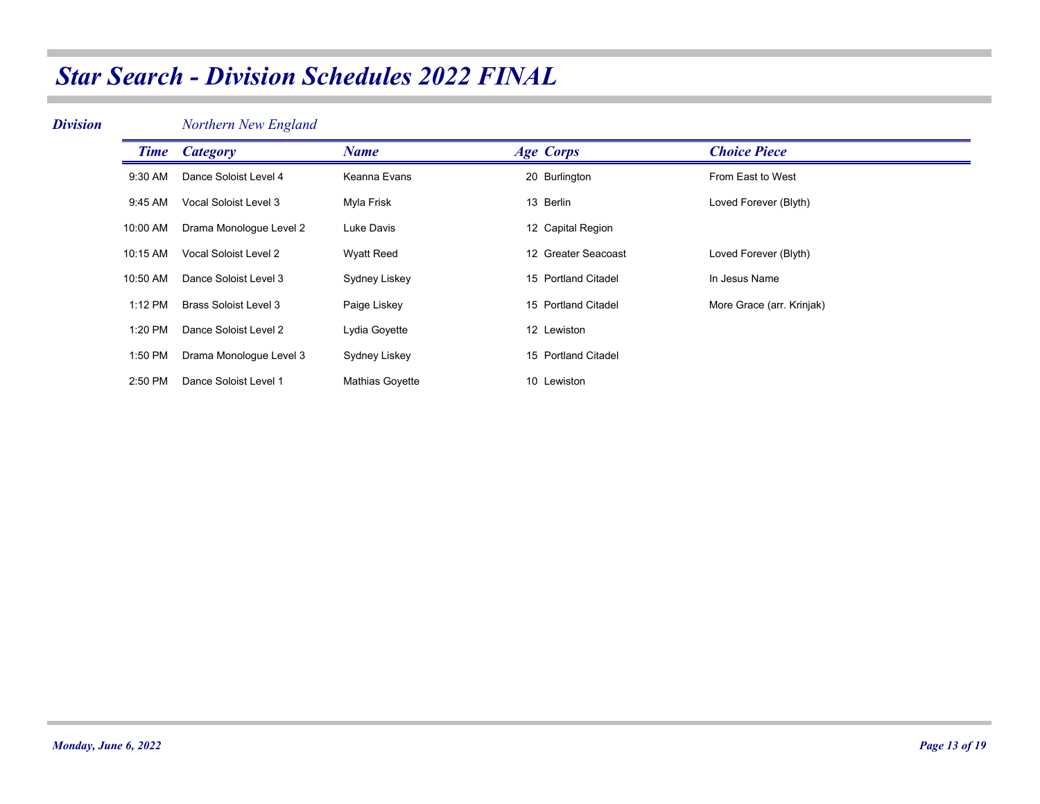#### *Division*

*Northern New England*

|          | <b>Time</b> <i>Category</i> | <b>Name</b>            | <b>Age Corps</b>    | <b>Choice Piece</b>       |
|----------|-----------------------------|------------------------|---------------------|---------------------------|
| 9:30 AM  | Dance Soloist Level 4       | Keanna Evans           | 20 Burlington       | From East to West         |
| 9:45 AM  | Vocal Soloist Level 3       | Myla Frisk             | 13 Berlin           | Loved Forever (Blyth)     |
| 10:00 AM | Drama Monologue Level 2     | Luke Davis             | 12 Capital Region   |                           |
| 10:15 AM | Vocal Soloist Level 2       | <b>Wyatt Reed</b>      | 12 Greater Seacoast | Loved Forever (Blyth)     |
| 10:50 AM | Dance Soloist Level 3       | Sydney Liskey          | 15 Portland Citadel | In Jesus Name             |
| 1:12 PM  | Brass Soloist Level 3       | Paige Liskey           | 15 Portland Citadel | More Grace (arr. Krinjak) |
| 1:20 PM  | Dance Soloist Level 2       | Lydia Goyette          | 12 Lewiston         |                           |
| 1:50 PM  | Drama Monologue Level 3     | Sydney Liskey          | 15 Portland Citadel |                           |
| 2:50 PM  | Dance Soloist Level 1       | <b>Mathias Govette</b> | 10 Lewiston         |                           |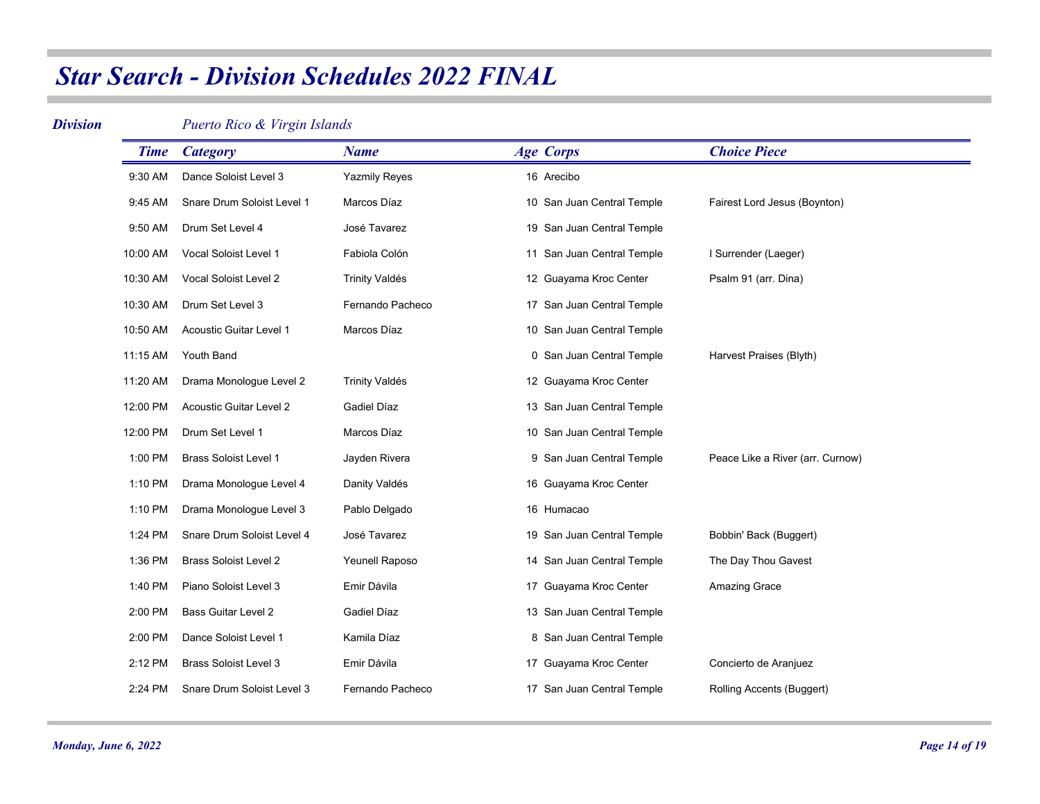#### *Division*

*Puerto Rico & Virgin Islands*

| <b>Time</b> | <b>Category</b>                | <b>Name</b>           | <b>Age Corps</b>           | <b>Choice Piece</b>              |
|-------------|--------------------------------|-----------------------|----------------------------|----------------------------------|
| 9:30 AM     | Dance Soloist Level 3          | Yazmily Reyes         | 16 Arecibo                 |                                  |
| 9:45 AM     | Snare Drum Soloist Level 1     | Marcos Díaz           | 10 San Juan Central Temple | Fairest Lord Jesus (Boynton)     |
| 9:50 AM     | Drum Set Level 4               | José Tavarez          | 19 San Juan Central Temple |                                  |
| 10:00 AM    | Vocal Soloist Level 1          | Fabiola Colón         | 11 San Juan Central Temple | I Surrender (Laeger)             |
| 10:30 AM    | Vocal Soloist Level 2          | <b>Trinity Valdés</b> | 12 Guayama Kroc Center     | Psalm 91 (arr. Dina)             |
| 10:30 AM    | Drum Set Level 3               | Fernando Pacheco      | 17 San Juan Central Temple |                                  |
| 10:50 AM    | <b>Acoustic Guitar Level 1</b> | Marcos Díaz           | 10 San Juan Central Temple |                                  |
| 11:15 AM    | Youth Band                     |                       | 0 San Juan Central Temple  | Harvest Praises (Blyth)          |
| 11:20 AM    | Drama Monologue Level 2        | <b>Trinity Valdés</b> | 12 Guayama Kroc Center     |                                  |
| 12:00 PM    | <b>Acoustic Guitar Level 2</b> | Gadiel Díaz           | 13 San Juan Central Temple |                                  |
| 12:00 PM    | Drum Set Level 1               | Marcos Díaz           | 10 San Juan Central Temple |                                  |
| 1:00 PM     | <b>Brass Soloist Level 1</b>   | Jayden Rivera         | 9 San Juan Central Temple  | Peace Like a River (arr. Curnow) |
| 1:10 PM     | Drama Monologue Level 4        | Danity Valdés         | 16 Guayama Kroc Center     |                                  |
| 1:10 PM     | Drama Monologue Level 3        | Pablo Delgado         | 16 Humacao                 |                                  |
| 1:24 PM     | Snare Drum Soloist Level 4     | José Tavarez          | 19 San Juan Central Temple | Bobbin' Back (Buggert)           |
| 1:36 PM     | <b>Brass Soloist Level 2</b>   | Yeunell Raposo        | 14 San Juan Central Temple | The Day Thou Gavest              |
| 1:40 PM     | Piano Soloist Level 3          | Emir Dávila           | 17 Guayama Kroc Center     | Amazing Grace                    |
| 2:00 PM     | <b>Bass Guitar Level 2</b>     | Gadiel Díaz           | 13 San Juan Central Temple |                                  |
| 2:00 PM     | Dance Soloist Level 1          | Kamila Díaz           | 8 San Juan Central Temple  |                                  |
| 2:12 PM     | <b>Brass Soloist Level 3</b>   | Emir Dávila           | 17 Guayama Kroc Center     | Concierto de Aranjuez            |
| 2:24 PM     | Snare Drum Soloist Level 3     | Fernando Pacheco      | 17 San Juan Central Temple | Rolling Accents (Buggert)        |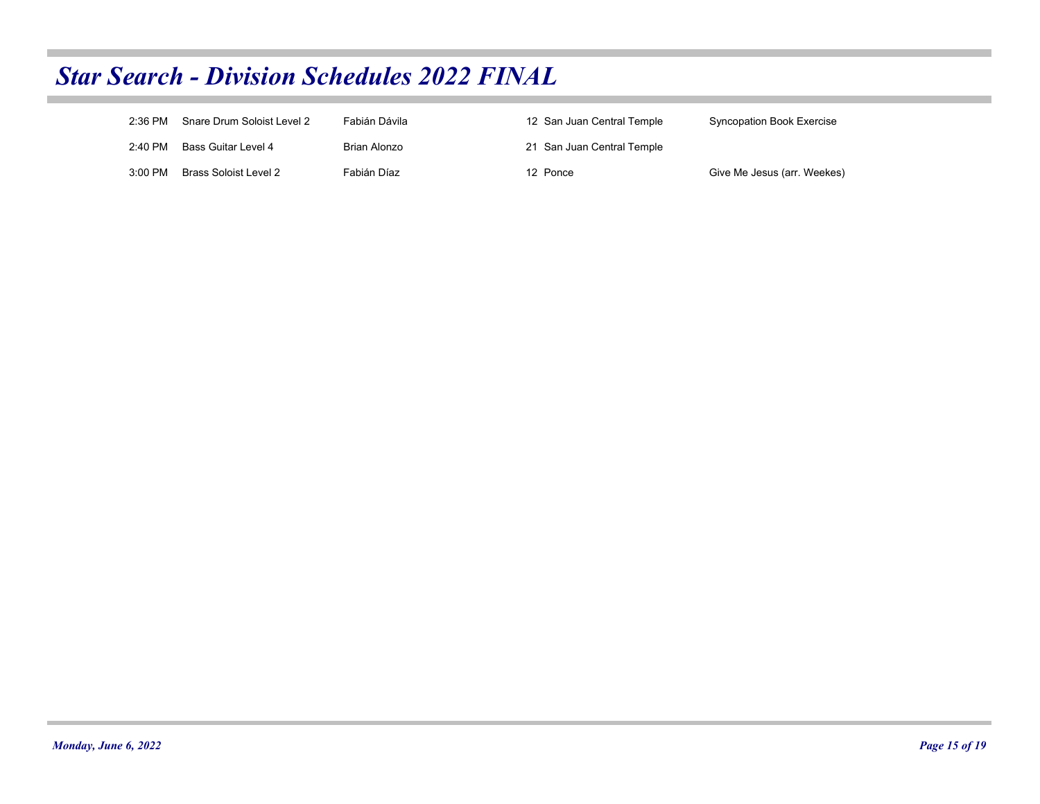| 2:36 PM   | Snare Drum Soloist Level 2 | Fabián Dávila | 12 San Juan Central Temple | Syncopation Book Exercise   |
|-----------|----------------------------|---------------|----------------------------|-----------------------------|
| 2:40 PM   | Bass Guitar Level 4        | Brian Alonzo  | 21 San Juan Central Temple |                             |
| $3:00$ PM | Brass Soloist Level 2      | Fabián Díaz   | 12 Ponce                   | Give Me Jesus (arr. Weekes) |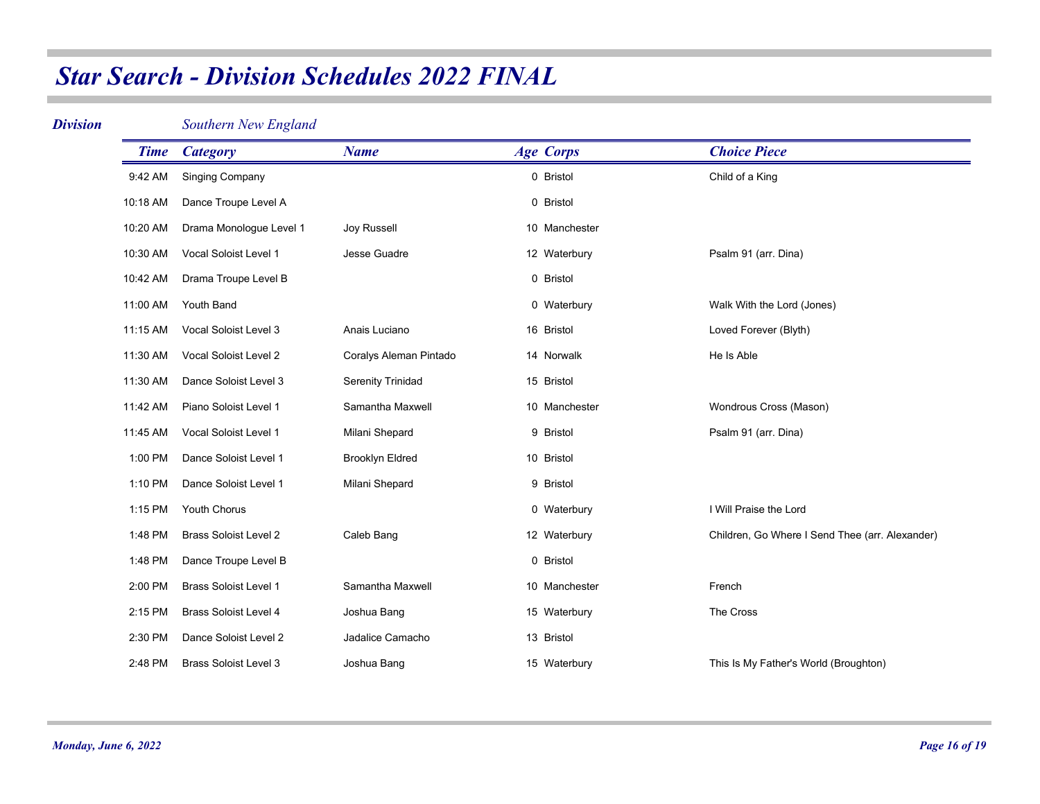### *Division*

*Southern New England*

| <b>Time</b> | <b>Category</b>              | <b>Name</b>              | <b>Age Corps</b> | <b>Choice Piece</b>                             |
|-------------|------------------------------|--------------------------|------------------|-------------------------------------------------|
| 9:42 AM     | <b>Singing Company</b>       |                          | 0 Bristol        | Child of a King                                 |
| 10:18 AM    | Dance Troupe Level A         |                          | 0 Bristol        |                                                 |
| 10:20 AM    | Drama Monologue Level 1      | Joy Russell              | 10 Manchester    |                                                 |
| 10:30 AM    | Vocal Soloist Level 1        | Jesse Guadre             | 12 Waterbury     | Psalm 91 (arr. Dina)                            |
| 10:42 AM    | Drama Troupe Level B         |                          | 0 Bristol        |                                                 |
| 11:00 AM    | Youth Band                   |                          | 0 Waterbury      | Walk With the Lord (Jones)                      |
| 11:15 AM    | Vocal Soloist Level 3        | Anais Luciano            | 16 Bristol       | Loved Forever (Blyth)                           |
| 11:30 AM    | Vocal Soloist Level 2        | Coralys Aleman Pintado   | 14 Norwalk       | He Is Able                                      |
| 11:30 AM    | Dance Soloist Level 3        | <b>Serenity Trinidad</b> | 15 Bristol       |                                                 |
| 11:42 AM    | Piano Soloist Level 1        | Samantha Maxwell         | 10 Manchester    | Wondrous Cross (Mason)                          |
| 11:45 AM    | Vocal Soloist Level 1        | Milani Shepard           | 9 Bristol        | Psalm 91 (arr. Dina)                            |
| 1:00 PM     | Dance Soloist Level 1        | <b>Brooklyn Eldred</b>   | 10 Bristol       |                                                 |
| 1:10 PM     | Dance Soloist Level 1        | Milani Shepard           | 9 Bristol        |                                                 |
| 1:15 PM     | <b>Youth Chorus</b>          |                          | 0 Waterbury      | I Will Praise the Lord                          |
| 1:48 PM     | <b>Brass Soloist Level 2</b> | Caleb Bang               | 12 Waterbury     | Children, Go Where I Send Thee (arr. Alexander) |
| 1:48 PM     | Dance Troupe Level B         |                          | 0 Bristol        |                                                 |
| 2:00 PM     | <b>Brass Soloist Level 1</b> | Samantha Maxwell         | 10 Manchester    | French                                          |
| 2:15 PM     | <b>Brass Soloist Level 4</b> | Joshua Bang              | 15 Waterbury     | The Cross                                       |
| 2:30 PM     | Dance Soloist Level 2        | Jadalice Camacho         | 13 Bristol       |                                                 |
| 2:48 PM     | <b>Brass Soloist Level 3</b> | Joshua Bang              | 15 Waterbury     | This Is My Father's World (Broughton)           |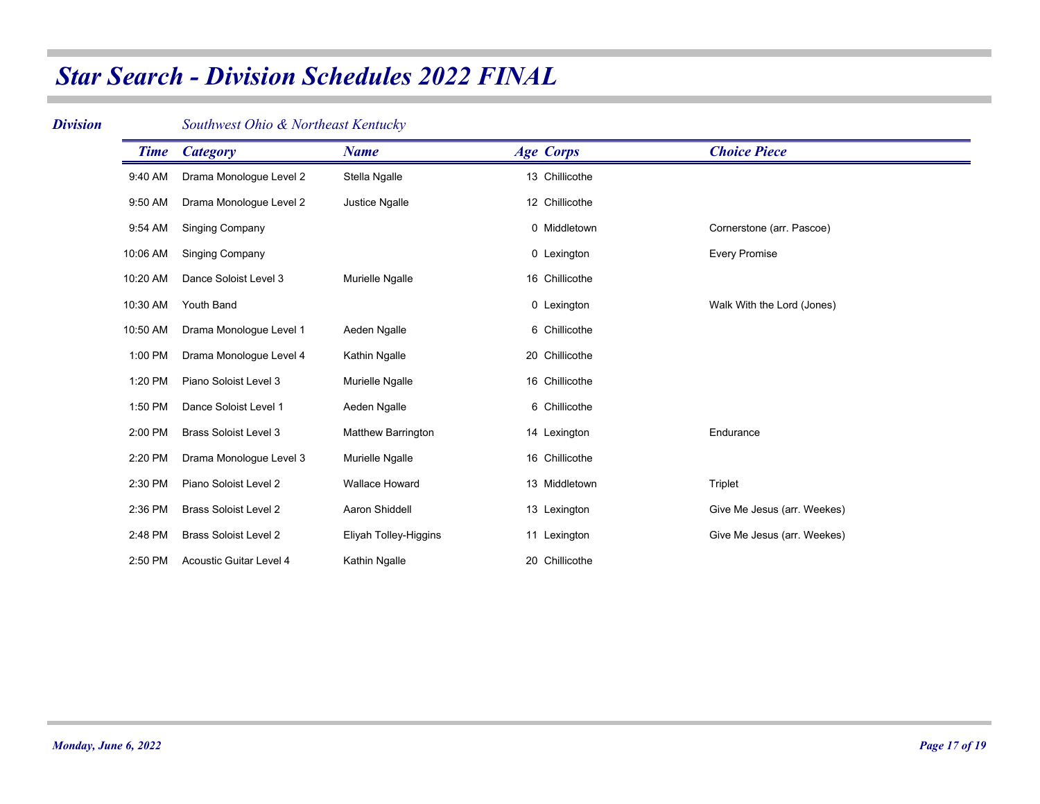#### *Division*

### *Southwest Ohio & Northeast Kentucky*

| <b>Time</b> | <b>Category</b>                | <b>Name</b>               | <b>Age Corps</b> | <b>Choice Piece</b>         |
|-------------|--------------------------------|---------------------------|------------------|-----------------------------|
| 9:40 AM     | Drama Monologue Level 2        | Stella Ngalle             | 13 Chillicothe   |                             |
| 9:50 AM     | Drama Monologue Level 2        | <b>Justice Ngalle</b>     | 12 Chillicothe   |                             |
| 9:54 AM     | <b>Singing Company</b>         |                           | 0 Middletown     | Cornerstone (arr. Pascoe)   |
| 10:06 AM    | <b>Singing Company</b>         |                           | 0 Lexington      | <b>Every Promise</b>        |
| 10:20 AM    | Dance Soloist Level 3          | Murielle Ngalle           | 16 Chillicothe   |                             |
| 10:30 AM    | <b>Youth Band</b>              |                           | 0 Lexington      | Walk With the Lord (Jones)  |
| 10:50 AM    | Drama Monologue Level 1        | Aeden Ngalle              | 6 Chillicothe    |                             |
| 1:00 PM     | Drama Monologue Level 4        | Kathin Ngalle             | 20 Chillicothe   |                             |
| 1:20 PM     | Piano Soloist Level 3          | Murielle Ngalle           | 16 Chillicothe   |                             |
| 1:50 PM     | Dance Soloist Level 1          | Aeden Ngalle              | 6 Chillicothe    |                             |
| 2:00 PM     | <b>Brass Soloist Level 3</b>   | <b>Matthew Barrington</b> | 14 Lexington     | Endurance                   |
| 2:20 PM     | Drama Monologue Level 3        | Murielle Ngalle           | 16 Chillicothe   |                             |
| 2:30 PM     | Piano Soloist Level 2          | <b>Wallace Howard</b>     | 13 Middletown    | Triplet                     |
| 2:36 PM     | <b>Brass Soloist Level 2</b>   | Aaron Shiddell            | 13 Lexington     | Give Me Jesus (arr. Weekes) |
| 2:48 PM     | <b>Brass Soloist Level 2</b>   | Eliyah Tolley-Higgins     | 11 Lexington     | Give Me Jesus (arr. Weekes) |
| 2:50 PM     | <b>Acoustic Guitar Level 4</b> | Kathin Ngalle             | 20 Chillicothe   |                             |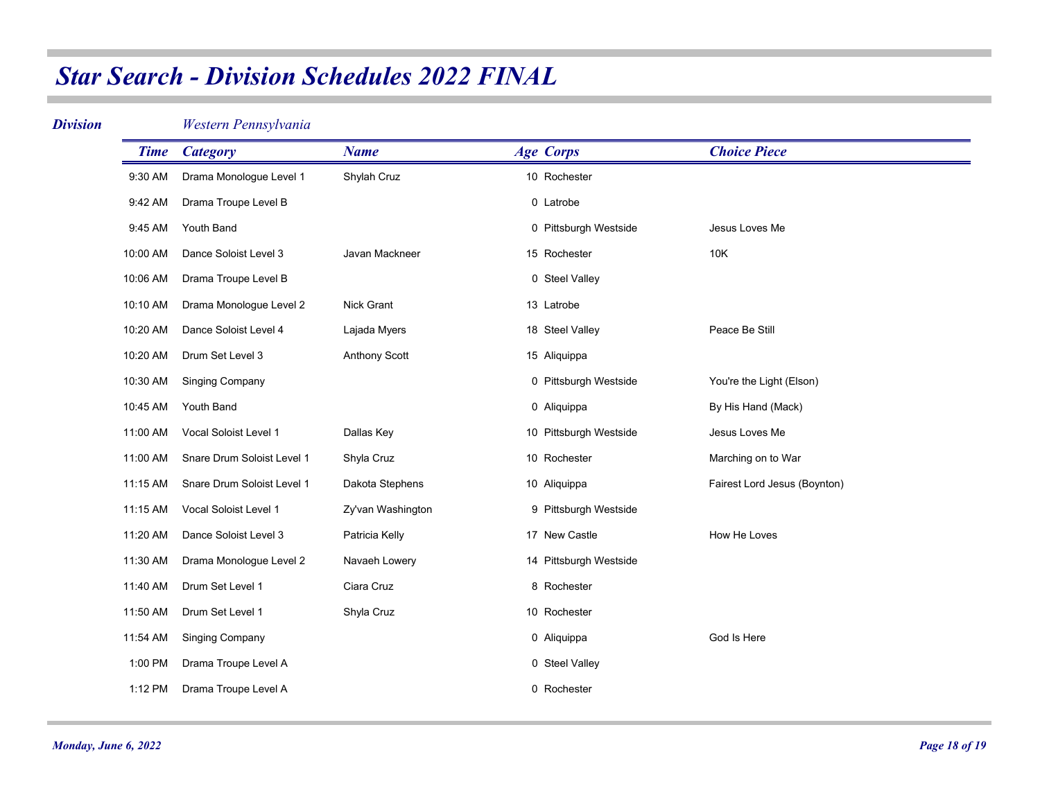### *Division*

*Western Pennsylvania*

| <b>Time</b> | <b>Category</b>            | <b>Name</b>       | <b>Age Corps</b>       | <b>Choice Piece</b>          |
|-------------|----------------------------|-------------------|------------------------|------------------------------|
| 9:30 AM     | Drama Monologue Level 1    | Shylah Cruz       | 10 Rochester           |                              |
| 9:42 AM     | Drama Troupe Level B       |                   | 0 Latrobe              |                              |
| 9:45 AM     | Youth Band                 |                   | 0 Pittsburgh Westside  | Jesus Loves Me               |
| 10:00 AM    | Dance Soloist Level 3      | Javan Mackneer    | 15 Rochester           | 10K                          |
| 10:06 AM    | Drama Troupe Level B       |                   | 0 Steel Valley         |                              |
| 10:10 AM    | Drama Monologue Level 2    | Nick Grant        | 13 Latrobe             |                              |
| 10:20 AM    | Dance Soloist Level 4      | Lajada Myers      | 18 Steel Valley        | Peace Be Still               |
| 10:20 AM    | Drum Set Level 3           | Anthony Scott     | 15 Aliquippa           |                              |
| 10:30 AM    | <b>Singing Company</b>     |                   | 0 Pittsburgh Westside  | You're the Light (Elson)     |
| 10:45 AM    | Youth Band                 |                   | 0 Aliquippa            | By His Hand (Mack)           |
| 11:00 AM    | Vocal Soloist Level 1      | Dallas Key        | 10 Pittsburgh Westside | Jesus Loves Me               |
| 11:00 AM    | Snare Drum Soloist Level 1 | Shyla Cruz        | 10 Rochester           | Marching on to War           |
| 11:15 AM    | Snare Drum Soloist Level 1 | Dakota Stephens   | 10 Aliquippa           | Fairest Lord Jesus (Boynton) |
| 11:15 AM    | Vocal Soloist Level 1      | Zy'van Washington | 9 Pittsburgh Westside  |                              |
| 11:20 AM    | Dance Soloist Level 3      | Patricia Kelly    | 17 New Castle          | How He Loves                 |
| 11:30 AM    | Drama Monologue Level 2    | Navaeh Lowery     | 14 Pittsburgh Westside |                              |
| 11:40 AM    | Drum Set Level 1           | Ciara Cruz        | 8 Rochester            |                              |
| 11:50 AM    | Drum Set Level 1           | Shyla Cruz        | 10 Rochester           |                              |
| 11:54 AM    | <b>Singing Company</b>     |                   | 0 Aliquippa            | God Is Here                  |
| 1:00 PM     | Drama Troupe Level A       |                   | 0 Steel Valley         |                              |
| 1:12 PM     | Drama Troupe Level A       |                   | 0 Rochester            |                              |